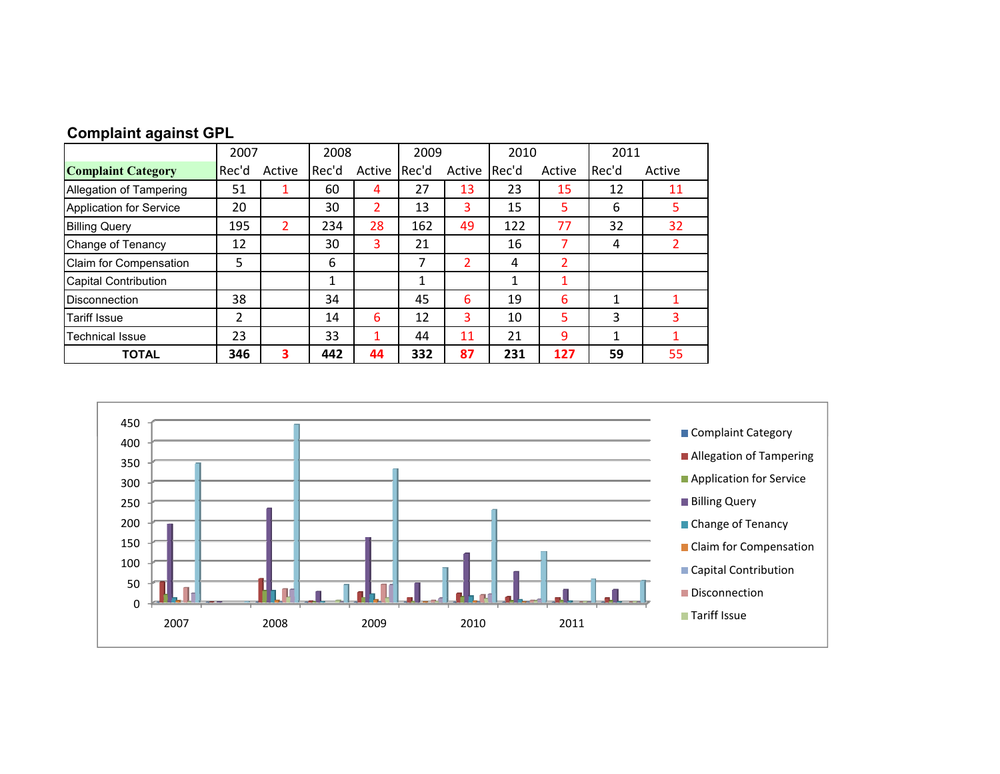|  | <b>Complaint against GPL</b> |  |
|--|------------------------------|--|
|  |                              |  |

|                             | 2007           |        | 2009<br>2008 |        | 2010         |        | 2011  |        |       |        |
|-----------------------------|----------------|--------|--------------|--------|--------------|--------|-------|--------|-------|--------|
| <b>Complaint Category</b>   | Rec'd          | Active | Rec'd        | Active | Rec'd        | Active | Rec'd | Active | Rec'd | Active |
| Allegation of Tampering     | 51             |        | 60           | 4      | 27           | 13     | 23    | 15     | 12    | 11     |
| Application for Service     | 20             |        | 30           | 2      | 13           | 3      | 15    | 5      | 6     | 5      |
| <b>Billing Query</b>        | 195            | 2      | 234          | 28     | 162          | 49     | 122   | 77     | 32    | 32     |
| Change of Tenancy           | 12             |        | 30           | 3      | 21           |        | 16    |        | 4     | 2      |
| Claim for Compensation      | 5              |        | 6            |        | 7            | 2      | 4     | 2      |       |        |
| <b>Capital Contribution</b> |                |        | 1            |        | $\mathbf{1}$ |        | 1     | 1      |       |        |
| <b>Disconnection</b>        | 38             |        | 34           |        | 45           | 6      | 19    | 6      |       |        |
| <b>Tariff Issue</b>         | $\overline{2}$ |        | 14           | 6      | 12           | 3      | 10    | 5      | 3     | 3      |
| <b>Technical Issue</b>      | 23             |        | 33           | 1      | 44           | 11     | 21    | 9      |       |        |
| <b>TOTAL</b>                | 346            | 3      | 442          | 44     | 332          | 87     | 231   | 127    | 59    | 55     |

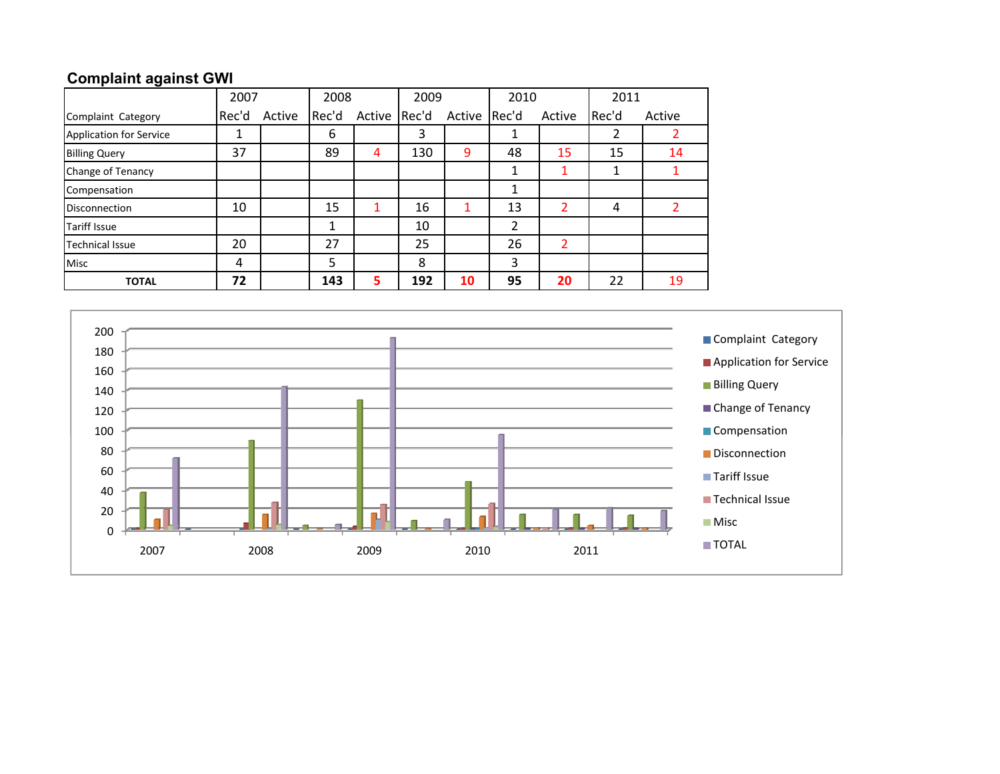## **Complaint against GWI**

|                                | 2007  |        | 2008  |        | 2009  |              | 2010           |                | 2011  |        |
|--------------------------------|-------|--------|-------|--------|-------|--------------|----------------|----------------|-------|--------|
| Complaint Category             | Rec'd | Active | Rec'd | Active | Rec'd | Active Rec'd |                | Active         | Rec'd | Active |
| <b>Application for Service</b> | 1     |        | 6     |        | 3     |              |                |                | 2     |        |
| <b>Billing Query</b>           | 37    |        | 89    | 4      | 130   | 9            | 48             | 15             | 15    | 14     |
| Change of Tenancy              |       |        |       |        |       |              |                |                |       |        |
| Compensation                   |       |        |       |        |       |              | 1              |                |       |        |
| <b>Disconnection</b>           | 10    |        | 15    | 1      | 16    |              | 13             | $\overline{2}$ | 4     |        |
| <b>Tariff Issue</b>            |       |        |       |        | 10    |              | $\overline{2}$ |                |       |        |
| <b>Technical Issue</b>         | 20    |        | 27    |        | 25    |              | 26             | 2              |       |        |
| <b>Misc</b>                    | 4     |        | 5     |        | 8     |              | 3              |                |       |        |
| <b>TOTAL</b>                   | 72    |        | 143   | 5      | 192   | 10           | 95             | 20             | 22    | 19     |

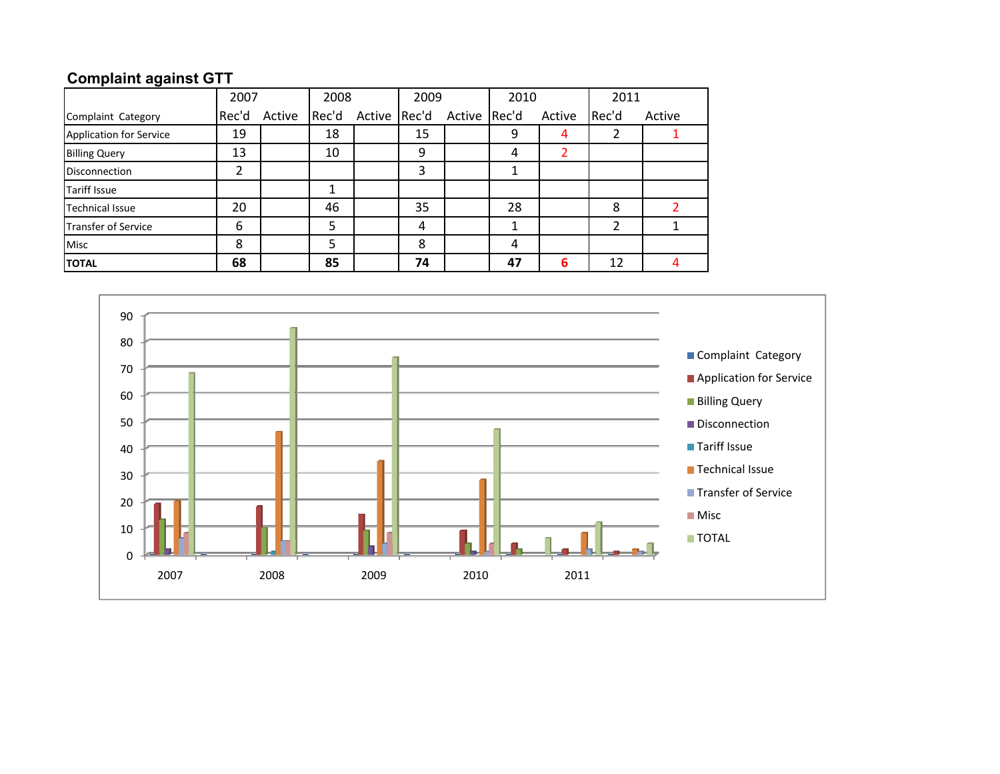## **Complaint against GTT**

|                            | 2007  |        | 2008  |              | 2009 |              | 2010 |        | 2011  |        |
|----------------------------|-------|--------|-------|--------------|------|--------------|------|--------|-------|--------|
| Complaint Category         | Rec'd | Active | Rec'd | Active Rec'd |      | Active Rec'd |      | Active | Rec'd | Active |
| Application for Service    | 19    |        | 18    |              | 15   |              | 9    | 4      |       |        |
| <b>Billing Query</b>       | 13    |        | 10    |              | 9    |              | 4    |        |       |        |
| <b>Disconnection</b>       | っ     |        |       |              | 3    |              | ┸    |        |       |        |
| <b>Tariff Issue</b>        |       |        |       |              |      |              |      |        |       |        |
| <b>Technical Issue</b>     | 20    |        | 46    |              | 35   |              | 28   |        | 8     |        |
| <b>Transfer of Service</b> | 6     |        | 5     |              | 4    |              |      |        | າ     |        |
| <b>Misc</b>                | 8     |        | 5     |              | 8    |              | 4    |        |       |        |
| <b>TOTAL</b>               | 68    |        | 85    |              | 74   |              | 47   | 6      | 12    |        |